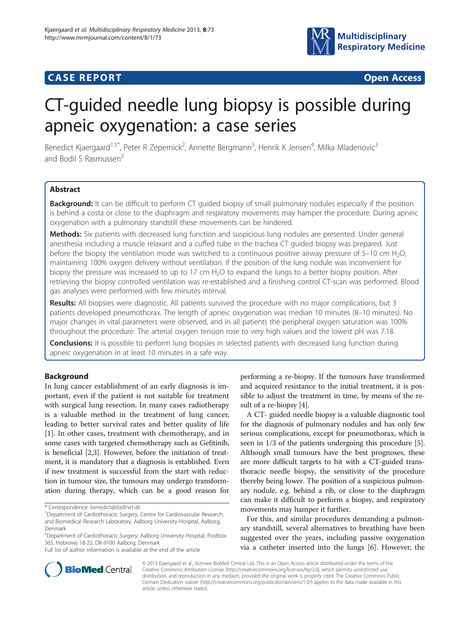# **CASE REPORT CASE REPORT CASE REPORT**



# CT-guided needle lung biopsy is possible during apneic oxygenation: a case series

Benedict Kjaergaard<sup>1,5\*</sup>, Peter R Zepernick<sup>2</sup>, Annette Bergmann<sup>3</sup>, Henrik K Jensen<sup>4</sup>, Milka Mladenovic<sup>3</sup> and Bodil S Rasmussen

# Abstract

**Background:** It can be difficult to perform CT quided biopsy of small pulmonary nodules especially if the position is behind a costa or close to the diaphragm and respiratory movements may hamper the procedure. During apneic oxygenation with a pulmonary standstill these movements can be hindered.

Methods: Six patients with decreased lung function and suspicious lung nodules are presented. Under general anesthesia including a muscle relaxant and a cuffed tube in the trachea CT guided biopsy was prepared. Just before the biopsy the ventilation mode was switched to a continuous positive airway pressure of  $5-10$  cm H<sub>2</sub>O, maintaining 100% oxygen delivery without ventilation. If the position of the lung nodule was inconvenient for biopsy the pressure was increased to up to 17 cm H<sub>2</sub>O to expand the lungs to a better biopsy position. After retrieving the biopsy controlled ventilation was re-established and a finishing control CT-scan was performed. Blood gas analyses were performed with few minutes interval.

Results: All biopsies were diagnostic. All patients survived the procedure with no major complications, but 3 patients developed pneumothorax. The length of apneic oxygenation was median 10 minutes (8–10 minutes). No major changes in vital parameters were observed, and in all patients the peripheral oxygen saturation was 100% throughout the procedure. The arterial oxygen tension rose to very high values and the lowest pH was 7.18.

**Conclusions:** It is possible to perform lung biopsies in selected patients with decreased lung function during apneic oxygenation in at least 10 minutes in a safe way.

# Background

In lung cancer establishment of an early diagnosis is important, even if the patient is not suitable for treatment with surgical lung resection. In many cases radiotherapy is a valuable method in the treatment of lung cancer, leading to better survival rates and better quality of life [[1\]](#page-4-0). In other cases, treatment with chemotherapy, and in some cases with targeted chemotherapy such as Gefitinib, is beneficial [\[2,3\]](#page-4-0). However, before the initiation of treatment, it is mandatory that a diagnosis is established. Even if new treatment is successful from the start with reduction in tumour size, the tumours may undergo transformation during therapy, which can be a good reason for

performing a re-biopsy. If the tumours have transformed and acquired resistance to the initial treatment, it is possible to adjust the treatment in time, by means of the result of a re-biopsy [\[4\]](#page-4-0).

A CT- guided needle biopsy is a valuable diagnostic tool for the diagnosis of pulmonary nodules and has only few serious complications, except for pneumothorax, which is seen in 1/3 of the patients undergoing this procedure [[5](#page-4-0)]. Although small tumours have the best prognoses, these are more difficult targets to hit with a CT-guided transthoracic needle biopsy, the sensitivity of the procedure thereby being lower. The position of a suspicious pulmonary nodule, e.g. behind a rib, or close to the diaphragm can make it difficult to perform a biopsy, and respiratory movements may hamper it further.

For this, and similar procedures demanding a pulmonary standstill, several alternatives to breathing have been suggested over the years, including passive oxygenation via a catheter inserted into the lungs [\[6](#page-4-0)]. However, the



© 2013 Kjaergaard et al.; licensee BioMed Central Ltd. This is an Open Access article distributed under the terms of the Creative Commons Attribution License (<http://creativecommons.org/licenses/by/2.0>), which permits unrestricted use, distribution, and reproduction in any medium, provided the original work is properly cited. The Creative Commons Public Domain Dedication waiver [\(http://creativecommons.org/publicdomain/zero/1.0/\)](http://creativecommons.org/publicdomain/zero/1.0/) applies to the data made available in this article, unless otherwise stated.

<sup>\*</sup> Correspondence: [benedict@dadlnet.dk](mailto:benedict@dadlnet.dk) <sup>1</sup>

<sup>&</sup>lt;sup>1</sup>Department of Cardiothoracic Surgery, Centre for Cardiovascular Research, and Biomedical Research Laboratory, Aalborg University Hospital, Aalborg, Denmark

<sup>5</sup> Department of Cardiothoracic Surgery, Aalborg University Hospital, Postbox 365, Hobrovej 18-22, DK-9100 Aalborg, Denmark

Full list of author information is available at the end of the article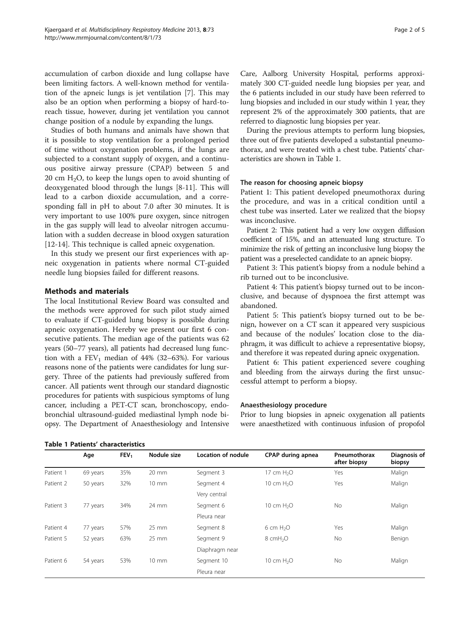accumulation of carbon dioxide and lung collapse have been limiting factors. A well-known method for ventilation of the apneic lungs is jet ventilation [\[7](#page-4-0)]. This may also be an option when performing a biopsy of hard-toreach tissue, however, during jet ventilation you cannot change position of a nodule by expanding the lungs.

Studies of both humans and animals have shown that it is possible to stop ventilation for a prolonged period of time without oxygenation problems, if the lungs are subjected to a constant supply of oxygen, and a continuous positive airway pressure (CPAP) between 5 and 20 cm  $H_2O$ , to keep the lungs open to avoid shunting of deoxygenated blood through the lungs [\[8](#page-4-0)-[11](#page-4-0)]. This will lead to a carbon dioxide accumulation, and a corresponding fall in pH to about 7.0 after 30 minutes. It is very important to use 100% pure oxygen, since nitrogen in the gas supply will lead to alveolar nitrogen accumulation with a sudden decrease in blood oxygen saturation [[12-14](#page-4-0)]. This technique is called apneic oxygenation.

In this study we present our first experiences with apneic oxygenation in patients where normal CT-guided needle lung biopsies failed for different reasons.

# Methods and materials

The local Institutional Review Board was consulted and the methods were approved for such pilot study aimed to evaluate if CT-guided lung biopsy is possible during apneic oxygenation. Hereby we present our first 6 consecutive patients. The median age of the patients was 62 years (50–77 years), all patients had decreased lung function with a  $FEV_1$  median of 44% (32–63%). For various reasons none of the patients were candidates for lung surgery. Three of the patients had previously suffered from cancer. All patients went through our standard diagnostic procedures for patients with suspicious symptoms of lung cancer, including a PET-CT scan, bronchoscopy, endobronchial ultrasound-guided mediastinal lymph node biopsy. The Department of Anaesthesiology and Intensive

Care, Aalborg University Hospital, performs approximately 300 CT-guided needle lung biopsies per year, and the 6 patients included in our study have been referred to lung biopsies and included in our study within 1 year, they represent 2% of the approximately 300 patients, that are referred to diagnostic lung biopsies per year.

During the previous attempts to perform lung biopsies, three out of five patients developed a substantial pneumothorax, and were treated with a chest tube. Patients' characteristics are shown in Table 1.

#### The reason for choosing apneic biopsy

Patient 1: This patient developed pneumothorax during the procedure, and was in a critical condition until a chest tube was inserted. Later we realized that the biopsy was inconclusive.

Patient 2: This patient had a very low oxygen diffusion coefficient of 15%, and an attenuated lung structure. To minimize the risk of getting an inconclusive lung biopsy the patient was a preselected candidate to an apneic biopsy.

Patient 3: This patient's biopsy from a nodule behind a rib turned out to be inconclusive.

Patient 4: This patient's biopsy turned out to be inconclusive, and because of dyspnoea the first attempt was abandoned.

Patient 5: This patient's biopsy turned out to be benign, however on a CT scan it appeared very suspicious and because of the nodules' location close to the diaphragm, it was difficult to achieve a representative biopsy, and therefore it was repeated during apneic oxygenation.

Patient 6: This patient experienced severe coughing and bleeding from the airways during the first unsuccessful attempt to perform a biopsy.

# Anaesthesiology procedure

Prior to lung biopsies in apneic oxygenation all patients were anaesthetized with continuous infusion of propofol

|           | Age      | FEV <sub>1</sub> | Nodule size     | Location of nodule | CPAP during apnea      | Pneumothorax<br>after biopsy | Diagnosis of<br>biopsy |
|-----------|----------|------------------|-----------------|--------------------|------------------------|------------------------------|------------------------|
| Patient 1 | 69 years | 35%              | $20 \text{ mm}$ | Segment 3          | 17 cm H <sub>2</sub> O | Yes                          | Malign                 |
| Patient 2 | 50 years | 32%              | $10 \text{ mm}$ | Segment 4          | 10 cm $H2O$            | Yes                          | Malign                 |
|           |          |                  |                 | Very central       |                        |                              |                        |
| Patient 3 | 77 years | 34%              | 24 mm           | Segment 6          | 10 cm $H2O$            | <b>No</b>                    | Malign                 |
|           |          |                  |                 | Pleura near        |                        |                              |                        |
| Patient 4 | 77 years | 57%              | $25$ mm         | Segment 8          | $6 \text{ cm } H_2O$   | Yes                          | Malign                 |
| Patient 5 | 52 years | 63%              | $25 \text{ mm}$ | Segment 9          | 8 cmH <sub>2</sub> O   | <b>No</b>                    | Benign                 |
|           |          |                  |                 | Diaphragm near     |                        |                              |                        |
| Patient 6 | 54 years | 53%              | $10 \text{ mm}$ | Segment 10         | 10 cm $H2O$            | <b>No</b>                    | Malign                 |
|           |          |                  |                 | Pleura near        |                        |                              |                        |

#### Table 1 Patients' characteristics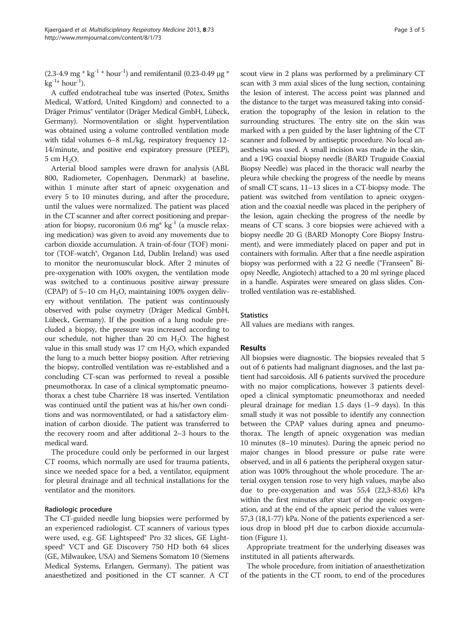$(2.3-4.9 \text{ mg} * \text{kg}^{-1} * \text{hour}^{-1})$  and remifentanil  $(0.23-0.49 \text{ µg} *$  $kg^{-1*} hour^{-1}$ ).

A cuffed endotracheal tube was inserted (Potex, Smiths Medical, Watford, United Kingdom) and connected to a Dräger Primus® ventilator (Dräger Medical GmbH, Lübeck, Germany). Normoventilation or slight hyperventilation was obtained using a volume controlled ventilation mode with tidal volumes 6–8 mL/kg, respiratory frequency 12- 14/minute, and positive end expiratory pressure (PEEP), 5 cm H2O.

Arterial blood samples were drawn for analysis (ABL 800, Radiometer, Copenhagen, Denmark) at baseline, within 1 minute after start of apneic oxygenation and every 5 to 10 minutes during, and after the procedure, until the values were normalized. The patient was placed in the CT scanner and after correct positioning and preparation for biopsy, rucoronium 0.6 mg\*  $kg^{-1}$  (a muscle relaxing medication) was given to avoid any movements due to carbon dioxide accumulation. A train-of-four (TOF) monitor (TOF-watch®, Organon Ltd, Dublin Ireland) was used to monitor the neuromuscular block. After 2 minutes of pre-oxygenation with 100% oxygen, the ventilation mode was switched to a continuous positive airway pressure (CPAP) of 5–10 cm  $H_2O$ , maintaining 100% oxygen delivery without ventilation. The patient was continuously observed with pulse oxymetry (Dräger Medical GmbH, Lübeck, Germany). If the position of a lung nodule precluded a biopsy, the pressure was increased according to our schedule, not higher than 20 cm  $H_2O$ . The highest value in this small study was  $17 \text{ cm H}_2\text{O}$ , which expanded the lung to a much better biopsy position. After retrieving the biopsy, controlled ventilation was re-established and a concluding CT-scan was performed to reveal a possible pneumothorax. In case of a clinical symptomatic pneumothorax a chest tube Charrière 18 was inserted. Ventilation was continued until the patient was at his/her own conditions and was normoventilated, or had a satisfactory elimination of carbon dioxide. The patient was transferred to the recovery room and after additional 2–3 hours to the medical ward.

The procedure could only be performed in our largest CT rooms, which normally are used for trauma patients, since we needed space for a bed, a ventilator, equipment for pleural drainage and all technical installations for the ventilator and the monitors.

## Radiologic procedure

The CT-guided needle lung biopsies were performed by an experienced radiologist. CT scanners of various types were used, e.g. GE Lightspeed® Pro 32 slices, GE Lightspeed® VCT and GE Discovery 750 HD both 64 slices (GE, Milwaukee, USA) and Siemens Somatom 10 (Siemens Medical Systems, Erlangen, Germany). The patient was anaesthetized and positioned in the CT scanner. A CT scout view in 2 plans was performed by a preliminary CT scan with 3 mm axial slices of the lung section, containing the lesion of interest. The access point was planned and the distance to the target was measured taking into consideration the topography of the lesion in relation to the surrounding structures. The entry site on the skin was marked with a pen guided by the laser lightning of the CT scanner and followed by antiseptic procedure. No local anaesthesia was used. A small incision was made in the skin, and a 19G coaxial biopsy needle (BARD Truguide Coaxial Biopsy Needle) was placed in the thoracic wall nearby the pleura while checking the progress of the needle by means of small CT scans, 11–13 slices in a CT-biopsy mode. The patient was switched from ventilation to apneic oxygenation and the coaxial needle was placed in the periphery of the lesion, again checking the progress of the needle by means of CT scans. 3 core biopsies were achieved with a biopsy needle 20 G (BARD Monopty Core Biopsy Instrument), and were immediately placed on paper and put in containers with formalin. After that a fine needle aspiration biopsy was performed with a 22 G needle ("Franseen" Biopsy Needle, Angiotech) attached to a 20 ml syringe placed in a handle. Aspirates were smeared on glass slides. Controlled ventilation was re-established.

#### **Statistics**

All values are medians with ranges.

#### Results

All biopsies were diagnostic. The biopsies revealed that 5 out of 6 patients had malignant diagnoses, and the last patient had sarcoidosis. All 6 patients survived the procedure with no major complications, however 3 patients developed a clinical symptomatic pneumothorax and needed pleural drainage for median 1.5 days (1–9 days). In this small study it was not possible to identify any connection between the CPAP values during apnea and pneumothorax. The length of apneic oxygenation was median 10 minutes (8–10 minutes). During the apneic period no major changes in blood pressure or pulse rate were observed, and in all 6 patients the peripheral oxygen saturation was 100% throughout the whole procedure. The arterial oxygen tension rose to very high values, maybe also due to pre-oxygenation and was 55,4 (22,3-83,6) kPa within the first minutes after start of the apneic oxygenation, and at the end of the apneic period the values were 57,3 (18,1-77) kPa. None of the patients experienced a serious drop in blood pH due to carbon dioxide accumulation (Figure [1](#page-3-0)).

Appropriate treatment for the underlying diseases was instituted in all patients afterwards.

The whole procedure, from initiation of anaesthetization of the patients in the CT room, to end of the procedures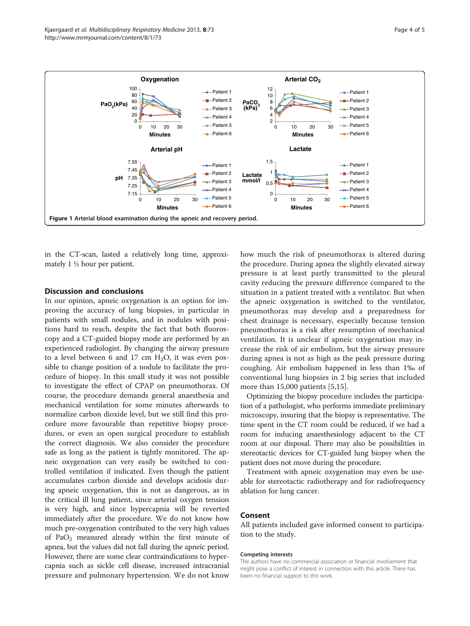<span id="page-3-0"></span>

in the CT-scan, lasted a relatively long time, approximately 1 ½ hour per patient.

#### Discussion and conclusions

In our opinion, apneic oxygenation is an option for improving the accuracy of lung biopsies, in particular in patients with small nodules, and in nodules with positions hard to reach, despite the fact that both fluoroscopy and a CT-guided biopsy mode are performed by an experienced radiologist. By changing the airway pressure to a level between 6 and 17 cm  $H_2O$ , it was even possible to change position of a nodule to facilitate the procedure of biopsy. In this small study it was not possible to investigate the effect of CPAP on pneumothorax. Of course, the procedure demands general anaesthesia and mechanical ventilation for some minutes afterwards to normalize carbon dioxide level, but we still find this procedure more favourable than repetitive biopsy procedures, or even an open surgical procedure to establish the correct diagnosis. We also consider the procedure safe as long as the patient is tightly monitored. The apneic oxygenation can very easily be switched to controlled ventilation if indicated. Even though the patient accumulates carbon dioxide and develops acidosis during apneic oxygenation, this is not as dangerous, as in the critical ill lung patient, since arterial oxygen tension is very high, and since hypercapnia will be reverted immediately after the procedure. We do not know how much pre-oxygenation contributed to the very high values of PaO2 measured already within the first minute of apnea, but the values did not fall during the apneic period. However, there are some clear contraindications to hypercapnia such as sickle cell disease, increased intracranial pressure and pulmonary hypertension. We do not know how much the risk of pneumothorax is altered during the procedure. During apnea the slightly elevated airway pressure is at least partly transmitted to the pleural cavity reducing the pressure difference compared to the situation in a patient treated with a ventilator. But when the apneic oxygenation is switched to the ventilator, pneumothorax may develop and a preparedness for chest drainage is necessary, especially because tension pneumothorax is a risk after resumption of mechanical ventilation. It is unclear if apneic oxygenation may increase the risk of air embolism, but the airway pressure during apnea is not as high as the peak pressure during coughing. Air embolism happened in less than 1‰ of conventional lung biopsies in 2 big series that included more than 15,000 patients [[5,15](#page-4-0)].

Optimizing the biopsy procedure includes the participation of a pathologist, who performs immediate preliminary microscopy, insuring that the biopsy is representative. The time spent in the CT room could be reduced, if we had a room for inducing anaesthesiology adjacent to the CT room at our disposal. There may also be possibilities in stereotactic devices for CT-guided lung biopsy when the patient does not move during the procedure.

Treatment with apneic oxygenation may even be useable for stereotactic radiotherapy and for radiofrequency ablation for lung cancer.

### Consent

All patients included gave informed consent to participation to the study.

#### Competing interests

The authors have no commercial association or financial involvement that might pose a conflict of interest in connection with this article. There has been no financial support to this work.